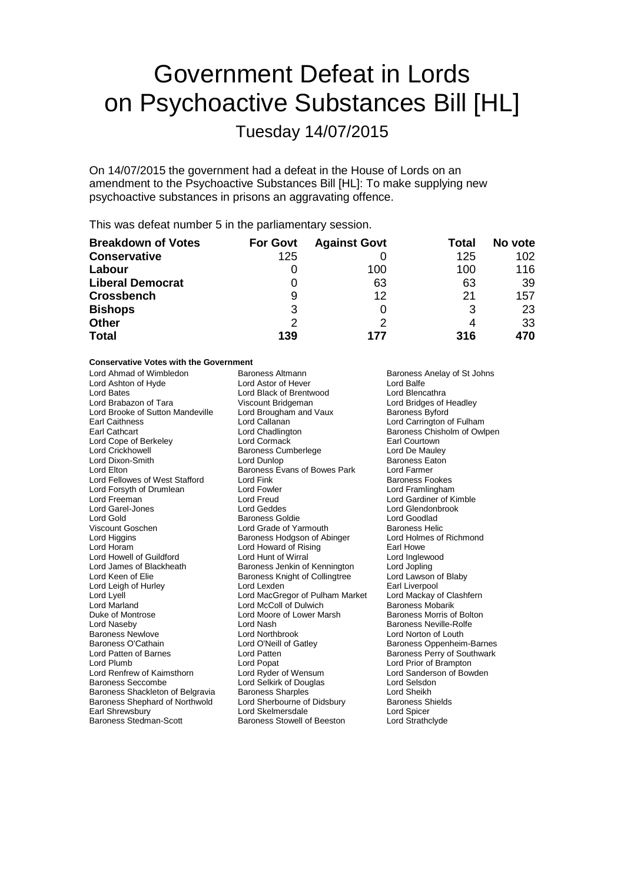# Government Defeat in Lords on Psychoactive Substances Bill [HL]

Tuesday 14/07/2015

On 14/07/2015 the government had a defeat in the House of Lords on an amendment to the Psychoactive Substances Bill [HL]: To make supplying new psychoactive substances in prisons an aggravating offence.

This was defeat number 5 in the parliamentary session.

| <b>Breakdown of Votes</b> | <b>For Govt</b> | <b>Against Govt</b> | Total | No vote |
|---------------------------|-----------------|---------------------|-------|---------|
| <b>Conservative</b>       | 125             |                     | 125   | 102     |
| Labour                    |                 | 100                 | 100   | 116     |
| <b>Liberal Democrat</b>   |                 | 63                  | 63    | 39      |
| <b>Crossbench</b>         | 9               | 12                  | 21    | 157     |
| <b>Bishops</b>            | 3               |                     | 3     | 23      |
| <b>Other</b>              | 2               |                     | 4     | 33      |
| <b>Total</b>              | 139             | 177                 | 316   | 470     |

### **Conservative Votes with the Government**

| Lord Anmad or Wimbledon          | Baroness Altmann                | <b>Baroness</b> A  |
|----------------------------------|---------------------------------|--------------------|
| Lord Ashton of Hyde              | Lord Astor of Hever             | Lord Balfe         |
| Lord Bates                       | Lord Black of Brentwood         | Lord Blenc         |
| Lord Brabazon of Tara            | Viscount Bridgeman              | Lord Bridge        |
| Lord Brooke of Sutton Mandeville | Lord Brougham and Vaux          | <b>Baroness E</b>  |
| <b>Earl Caithness</b>            | Lord Callanan                   | <b>Lord Carrir</b> |
| Earl Cathcart                    | Lord Chadlington                | Baroness (         |
| Lord Cope of Berkeley            | Lord Cormack                    | <b>Earl Courto</b> |
| Lord Crickhowell                 | Baroness Cumberlege             | Lord De Ma         |
| Lord Dixon-Smith                 | Lord Dunlop                     | <b>Baroness I</b>  |
| Lord Elton                       | Baroness Evans of Bowes Park    | Lord Farme         |
| Lord Fellowes of West Stafford   | Lord Fink                       | <b>Baroness F</b>  |
| Lord Forsyth of Drumlean         | <b>Lord Fowler</b>              | Lord Framl         |
| Lord Freeman                     | Lord Freud                      | Lord Gardi         |
| Lord Garel-Jones                 | Lord Geddes                     | Lord Glend         |
| Lord Gold                        | Baroness Goldie                 | Lord Good          |
| Viscount Goschen                 | Lord Grade of Yarmouth          | Baroness I         |
| Lord Higgins                     | Baroness Hodgson of Abinger     | Lord Holme         |
| Lord Horam                       | Lord Howard of Rising           | Earl Howe          |
| Lord Howell of Guildford         | Lord Hunt of Wirral             | Lord Inglev        |
| Lord James of Blackheath         | Baroness Jenkin of Kennington   | Lord Joplin        |
| Lord Keen of Elie                | Baroness Knight of Collingtree  | Lord Lawso         |
| Lord Leigh of Hurley             | Lord Lexden                     | Earl Liverp        |
| Lord Lyell                       | Lord MacGregor of Pulham Market | Lord Macka         |
| Lord Marland                     | Lord McColl of Dulwich          | Baroness N         |
| Duke of Montrose                 | Lord Moore of Lower Marsh       | Baroness N         |
| Lord Naseby                      | Lord Nash                       | Baroness N         |
| <b>Baroness Newlove</b>          | Lord Northbrook                 | Lord Norto         |
| Baroness O'Cathain               | Lord O'Neill of Gatley          | Baroness (         |
| Lord Patten of Barnes            | Lord Patten                     | Baroness F         |
| Lord Plumb                       | Lord Popat                      | Lord Prior         |
| Lord Renfrew of Kaimsthorn       | Lord Ryder of Wensum            | Lord Sand          |
| <b>Baroness Seccombe</b>         | Lord Selkirk of Douglas         | Lord Selsd         |
| Baroness Shackleton of Belgravia | <b>Baroness Sharples</b>        | <b>Lord Sheik</b>  |
| Baroness Shephard of Northwold   | Lord Sherbourne of Didsbury     | <b>Baroness 9</b>  |
| Earl Shrewsbury                  | Lord Skelmersdale               | Lord Spice         |
| Baroness Stedman-Scott           | Baroness Stowell of Beeston     | Lord Strath        |
|                                  |                                 |                    |

Altmann Baroness Anelay of St Johns<br>
Cord Balfe<br>
Lord Balfe Lord Blencathra Lord Bridges of Headley Baroness Byford Lord Carrington of Fulham Baroness Chisholm of Owlpen Earl Courtown Lord De Mauley Baroness Eaton Lord Farmer Baroness Fookes Lord Framlingham Lord Gardiner of Kimble Lord Glendonbrook Lord Goodlad **Baroness Helic** Lord Holmes of Richmond Earl Howe Lord Inglewood Lord Jopling Lord Lawson of Blaby Earl Liverpool<br>Earl Lord Mackay of Lord Mackay of Clashfern Baroness Mobarik Baroness Morris of Bolton Baroness Neville-Rolfe Lord Norton of Louth Baroness Oppenheim-Barnes Baroness Perry of Southwark Lord Prior of Brampton Lord Sanderson of Bowden Lord Selsdon Lord Sheikh Baroness Shields Lord Spicer Lord Strathclyde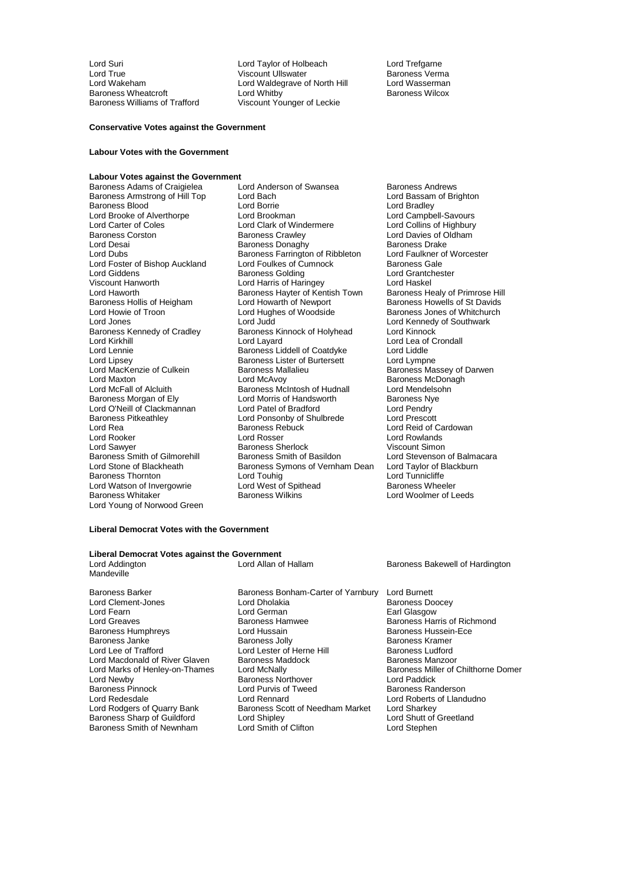Lord Suri Lord Taylor of Holbeach Lord Trefgarne Lord True Communist Communist Communist Viscount Ullswater Communist Charoness Vermanness Vermanness Vermannes<br>Communist Communist Communist Communist Communist Communist Communist Communist Communist Communist Communist<br>C Lord Wakeham Lord Waldegrave of North Hill<br>Baroness Wheatcroft **Lord Whitby** Baroness Wheatcroft **Lord Whitby** Lord Whitby **Baroness Wilcox**<br>Baroness Williams of Trafford **Container Wilscount Younger of Leckie** Viscount Younger of Leckie

#### **Conservative Votes against the Government**

#### **Labour Votes with the Government**

**Labour Votes against the Government**<br> **Raroness Adams of Craigielea** 
<br> **Lord Anderson of Swansea** Baroness Adams of Craigielea Lord Anderson of Swansea Baroness Andrews<br>Baroness Armstrong of Hill Top Lord Bach Cord Bach Lord Bassam of Brighton Lord Carter of Coles Lord Clark of Windermere<br>
Baroness Corston Baroness Crawley Baroness Kennedy of Cradley Baroness Kinnock of Holyhead<br>
Lord Kirkhill Baroness Kinnock of Holyhead Lord Lipsey Baroness Lister of Burtersett<br>
Lord MacKenzie of Culkein<br>
Baroness Mallalieu Baroness Pitkeathley **Lord Ponsonby of Shulbrede**<br>
Lord Rea **Corporation**<br>
Lord Rea **Baroness** Rebuck Lord Sawyer<br>
Baroness Smith of Gilmorehill
Baroness Smith of Basildon Lord Watson of Invergowrie Lord West of Spithead Baroness Whitaker Controller Baroness Wilkins Lord Young of Norwood Green

Baroness Armstrong of Hill Top Lord Bach Lord Baroness Blood<br>
Baroness Blood Cord Borrie Lord Borrie Lord Bradley Baroness Blood Lord Borrie Lord Bradley Lord Brooke of Alverthorpe Lord Brookman Lord Campbell-Savours<br>
Lord Carter of Coles Lord Clark of Windermere Lord Collins of Highbury Baroness Corston **Baroness Crawley Baroness Crawley** Lord Davies of Oldham<br>
Lord Desai **Baroness Donaghy** Baroness Donaghy Lord Desai Baroness Donaghy Baroness Drake Lord Dubs **Baroness Farrington of Ribbleton** Lord Faulkner of Worcester Lord Foster of Bishop Auckland Lord Foulkes of Cumnock Baroness Gale Lord Giddens **Baroness Golding** Lord Grantchester<br>
Viscount Hanworth **Baroness Golding** Lord Haringev<br>
Lord Haskel Viscount Hanworth **Markel Lord Harris of Haringey** Lord Haskel<br>Lord Haworth **Lord Harris Hayter of Kentish Town** Baroness Healy of Primrose Hill Lord Haworth Baroness Hayter of Kentish Town<br>Baroness Hollis of Heigham Lord Howarth of Newport Baroness Hollis of Heigham Lord Howarth of Newport Baroness Howells of St Davids<br>
Lord Howie of Troon Lord Hughes of Woodside Baroness Jones of Whitchurch Lord Howie of Troon **Lord Hughes of Woodside** Baroness Jones of Whitchurch<br>
Lord Jones **Lord Lord Lord Lord Active Control**<br>
Lord Jones **Control** Lord Jones **Lord Lord Judd** Lord Judd Lord Lord Kennedy of Southwark<br>
Baroness Kennedy of Cradley **Baroness Kinnock of Holyhead** Lord Kinnock Lord Kirkhill Lord Layard Lord Lea of Crondall Lord Lennie **Baroness Liddell of Coatdyke** Lord Liddle<br>
Lord Lipsey **Baroness Lister of Burtersett** Lord Lympne Lord MacKenzie of Culkein **Baroness Mallalieu** Baroness Massey of Darwen<br>
Baroness McDonagh<br>
Baroness McDonagh Lord Maxton **Communist Communist Communist Communist Communist Communist Communist Communist Communist Communist Communist Communist Communist Communist Communist Communist Communist Communist Communist Communist Communist** Exaroness McIntosh of Hudnall Lord Mendelso<br>
Lord Morris of Handsworth Baroness Nye Baroness Morgan of Ely Lord Morris of Handsworth Baroness Ny<br>
Lord O'Neill of Clackmannan Lord Patel of Bradford Lord Pendry Lord O'Neill of Clackmannan Lord Patel of Bradford Lord Pendry<br>
Baroness Pitkeathley Lord Ponsonby of Shulbrede Lord Prescott Baroness Rebuck Lord Reid of Cardowan<br>
Lord Rosser Lord Rowlands Lord Rooker Lord Rosser Lord Rowlands Baroness Smith of Gilmorehill Baroness Smith of Basildon Lord Stevenson of Balmacara<br>
Lord Stone of Blackheath Baroness Symons of Vernham Dean Lord Taylor of Blackburn Baroness Symons of Vernham Dean Lord Taylor of E<br>Lord Touhig Lord Tunnicliffe Baroness Thornton **Lord Touhig** Lord Touhig Lord Tunnicliffe<br>
Lord Watson of Invergowrie Lord West of Spithead **Baroness Wheeler** 

Lord Woolmer of Leeds

#### **Liberal Democrat Votes with the Government**

## **Liberal Democrat Votes against the Government**

Mandeville

Baroness Barker **Baroness Bonham-Carter of Yarnbury** Lord Burnett<br>Lord Clement-Jones **Baroness Domess Domess Domess Domess** Domess Domess Domess Domess Domess Domess Domest Domest Baroness Humphreys Baroness Pinnock Lord Purvis of Tweed<br>
Lord Redesdale Lord Rennard Baroness Smith of Newnham

Lord Clement-Jones Lord Dholakia Baroness Doocey Lord Fearn **Earl Clasgow**<br>
Lord Greaves **Container Baroness Hammed Baroness Harmoness Harmoness Harmoness Harmoness Harmoness Harmoness Har** Baroness Hamwee Baroness Harris of Richmond<br>
Lord Hussain Corpus Baroness Hussein-Ece Baroness Janke Baroness Jolly Baroness Haroness Kramer<br>
Lord Les of Trafford Cord Lester of Herne Hill Baroness Ludford Lord Lester of Herne Hill **Baroness Ludford**<br>Baroness Maddock **Baroness Manzoor** Lord Macdonald of River Glaven Baroness Maddock Baroness Manzoor<br>
Lord Marks of Henley-on-Thames Lord McNally Baroness Miller of Chilthorne Domer Lord Marks of Henley-on-Thames Lord McNally **Baroness Miller Chilthorne Chilthorne Chilthorne Chilthorne Chilthorne Chilthorne Chilthorne Chilthorne Chilthorne Domerre Chilthorne Domerre Domerre Chilthorne Domerre Domerre** Lord Newby **Communist Communist Communist Communist Communist Communist Communist Communist Communist Communist Communist Communist Communist Communist Communist Communist Communist Communist Communist Communist Communist** Lord Redesdale Lord Rennard Lord Roberts of Llandudno Baroness Scott of Needham Market Lord Sharkey<br>Lord Shutt of Greetland Baroness Sharp of Guildford Lord Shipley<br>
Lord Shutt of Greenland Lord Smith of Clifton<br>
Lord Stephen

Baroness Bakewell of Hardington